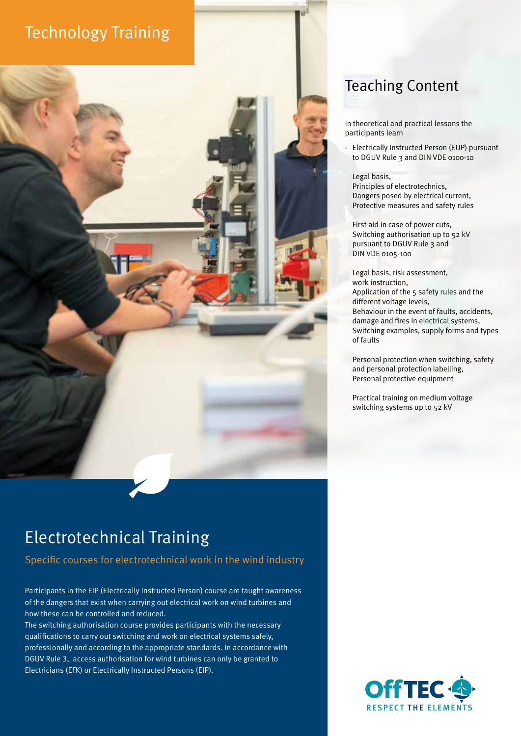# Technology Training



# Electrotechnical Training

Specific courses for electrotechnical work in the wind industry

Participants in the EIP (Electrically Instructed Person) course are taught awareness of the dangers that exist when carrying out electrical work on wind turbines and how these can be controlled and reduced.

The switching authorisation course provides participants with the necessary qualifications to carry out switching and work on electrical systems safely, professionally and according to the appropriate standards. In accordance with DGUV Rule 3, access authorisation for wind turbines can only be granted to Electricians (EFK) or Electrically Instructed Persons (EIP).

## Teaching Content

In theoretical and practical lessons the participants learn

- Electrically Instructed Person (EUP) pursuant to DGUV Rule 3 and DIN VDE 0100-10

Legal basis,

Principles of electrotechnics, Dangers posed by electrical current, Protective measures and safety rules

First aid in case of power cuts, Switching authorisation up to 52 kV pursuant to DGUV Rule 3 and DIN VDE 0105-100

Legal basis, risk assessment, work instruction, Application of the 5 safety rules and the different voltage levels, Behaviour in the event of faults, accidents, damage and fires in electrical systems, Switching examples, supply forms and types of faults

Personal protection when switching, safety and personal protection labelling, Personal protective equipment

Practical training on medium voltage switching systems up to 52 kV